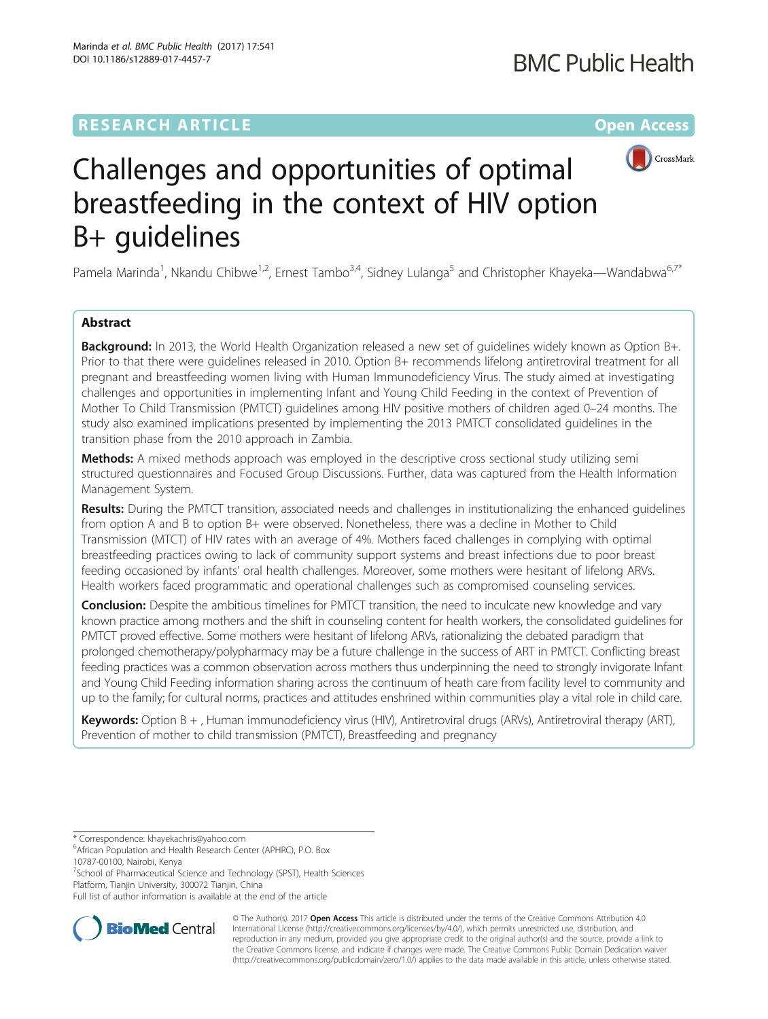# **RESEARCH ARTICLE Example 2014 12:30 The Community Community Community Community Community Community Community**



# Challenges and opportunities of optimal breastfeeding in the context of HIV option B+ guidelines

Pamela Marinda<sup>1</sup>, Nkandu Chibwe<sup>1,2</sup>, Ernest Tambo<sup>3,4</sup>, Sidney Lulanga<sup>5</sup> and Christopher Khayeka—Wandabwa<sup>6,7\*</sup>

# Abstract

Background: In 2013, the World Health Organization released a new set of quidelines widely known as Option B+. Prior to that there were guidelines released in 2010. Option B+ recommends lifelong antiretroviral treatment for all pregnant and breastfeeding women living with Human Immunodeficiency Virus. The study aimed at investigating challenges and opportunities in implementing Infant and Young Child Feeding in the context of Prevention of Mother To Child Transmission (PMTCT) guidelines among HIV positive mothers of children aged 0–24 months. The study also examined implications presented by implementing the 2013 PMTCT consolidated guidelines in the transition phase from the 2010 approach in Zambia.

Methods: A mixed methods approach was employed in the descriptive cross sectional study utilizing semi structured questionnaires and Focused Group Discussions. Further, data was captured from the Health Information Management System.

Results: During the PMTCT transition, associated needs and challenges in institutionalizing the enhanced guidelines from option A and B to option B+ were observed. Nonetheless, there was a decline in Mother to Child Transmission (MTCT) of HIV rates with an average of 4%. Mothers faced challenges in complying with optimal breastfeeding practices owing to lack of community support systems and breast infections due to poor breast feeding occasioned by infants' oral health challenges. Moreover, some mothers were hesitant of lifelong ARVs. Health workers faced programmatic and operational challenges such as compromised counseling services.

Conclusion: Despite the ambitious timelines for PMTCT transition, the need to inculcate new knowledge and vary known practice among mothers and the shift in counseling content for health workers, the consolidated guidelines for PMTCT proved effective. Some mothers were hesitant of lifelong ARVs, rationalizing the debated paradigm that prolonged chemotherapy/polypharmacy may be a future challenge in the success of ART in PMTCT. Conflicting breast feeding practices was a common observation across mothers thus underpinning the need to strongly invigorate Infant and Young Child Feeding information sharing across the continuum of heath care from facility level to community and up to the family; for cultural norms, practices and attitudes enshrined within communities play a vital role in child care.

Keywords: Option B +, Human immunodeficiency virus (HIV), Antiretroviral drugs (ARVs), Antiretroviral therapy (ART), Prevention of mother to child transmission (PMTCT), Breastfeeding and pregnancy

<sup>7</sup>School of Pharmaceutical Science and Technology (SPST), Health Sciences Platform, Tianjin University, 300072 Tianjin, China

Full list of author information is available at the end of the article



© The Author(s). 2017 **Open Access** This article is distributed under the terms of the Creative Commons Attribution 4.0 International License [\(http://creativecommons.org/licenses/by/4.0/](http://creativecommons.org/licenses/by/4.0/)), which permits unrestricted use, distribution, and reproduction in any medium, provided you give appropriate credit to the original author(s) and the source, provide a link to the Creative Commons license, and indicate if changes were made. The Creative Commons Public Domain Dedication waiver [\(http://creativecommons.org/publicdomain/zero/1.0/](http://creativecommons.org/publicdomain/zero/1.0/)) applies to the data made available in this article, unless otherwise stated.

<sup>\*</sup> Correspondence: [khayekachris@yahoo.com](mailto:khayekachris@yahoo.com) <sup>6</sup>

African Population and Health Research Center (APHRC), P.O. Box 10787-00100, Nairobi, Kenya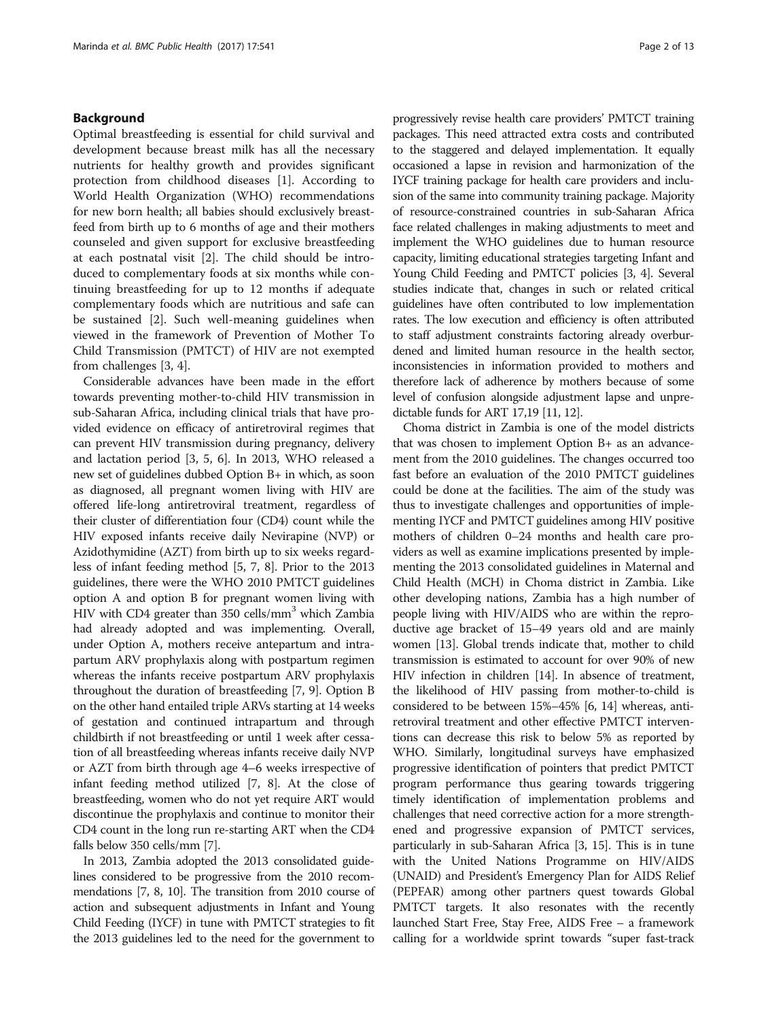# Background

Optimal breastfeeding is essential for child survival and development because breast milk has all the necessary nutrients for healthy growth and provides significant protection from childhood diseases [\[1](#page-11-0)]. According to World Health Organization (WHO) recommendations for new born health; all babies should exclusively breastfeed from birth up to 6 months of age and their mothers counseled and given support for exclusive breastfeeding at each postnatal visit [\[2](#page-11-0)]. The child should be introduced to complementary foods at six months while continuing breastfeeding for up to 12 months if adequate complementary foods which are nutritious and safe can be sustained [\[2\]](#page-11-0). Such well-meaning guidelines when viewed in the framework of Prevention of Mother To Child Transmission (PMTCT) of HIV are not exempted from challenges [[3](#page-11-0), [4](#page-11-0)].

Considerable advances have been made in the effort towards preventing mother-to-child HIV transmission in sub-Saharan Africa, including clinical trials that have provided evidence on efficacy of antiretroviral regimes that can prevent HIV transmission during pregnancy, delivery and lactation period [[3, 5, 6\]](#page-11-0). In 2013, WHO released a new set of guidelines dubbed Option B+ in which, as soon as diagnosed, all pregnant women living with HIV are offered life-long antiretroviral treatment, regardless of their cluster of differentiation four (CD4) count while the HIV exposed infants receive daily Nevirapine (NVP) or Azidothymidine (AZT) from birth up to six weeks regardless of infant feeding method [[5, 7](#page-11-0), [8](#page-11-0)]. Prior to the 2013 guidelines, there were the WHO 2010 PMTCT guidelines option A and option B for pregnant women living with HIV with CD4 greater than 350 cells/mm3 which Zambia had already adopted and was implementing. Overall, under Option A, mothers receive antepartum and intrapartum ARV prophylaxis along with postpartum regimen whereas the infants receive postpartum ARV prophylaxis throughout the duration of breastfeeding [\[7](#page-11-0), [9](#page-11-0)]. Option B on the other hand entailed triple ARVs starting at 14 weeks of gestation and continued intrapartum and through childbirth if not breastfeeding or until 1 week after cessation of all breastfeeding whereas infants receive daily NVP or AZT from birth through age 4–6 weeks irrespective of infant feeding method utilized [\[7, 8](#page-11-0)]. At the close of breastfeeding, women who do not yet require ART would discontinue the prophylaxis and continue to monitor their CD4 count in the long run re-starting ART when the CD4 falls below 350 cells/mm [\[7\]](#page-11-0).

In 2013, Zambia adopted the 2013 consolidated guidelines considered to be progressive from the 2010 recommendations [\[7, 8](#page-11-0), [10](#page-11-0)]. The transition from 2010 course of action and subsequent adjustments in Infant and Young Child Feeding (IYCF) in tune with PMTCT strategies to fit the 2013 guidelines led to the need for the government to progressively revise health care providers' PMTCT training packages. This need attracted extra costs and contributed to the staggered and delayed implementation. It equally occasioned a lapse in revision and harmonization of the IYCF training package for health care providers and inclusion of the same into community training package. Majority of resource-constrained countries in sub-Saharan Africa face related challenges in making adjustments to meet and implement the WHO guidelines due to human resource capacity, limiting educational strategies targeting Infant and Young Child Feeding and PMTCT policies [\[3](#page-11-0), [4\]](#page-11-0). Several studies indicate that, changes in such or related critical guidelines have often contributed to low implementation rates. The low execution and efficiency is often attributed to staff adjustment constraints factoring already overburdened and limited human resource in the health sector, inconsistencies in information provided to mothers and therefore lack of adherence by mothers because of some level of confusion alongside adjustment lapse and unpredictable funds for ART 17,19 [[11, 12](#page-11-0)].

Choma district in Zambia is one of the model districts that was chosen to implement Option B+ as an advancement from the 2010 guidelines. The changes occurred too fast before an evaluation of the 2010 PMTCT guidelines could be done at the facilities. The aim of the study was thus to investigate challenges and opportunities of implementing IYCF and PMTCT guidelines among HIV positive mothers of children 0–24 months and health care providers as well as examine implications presented by implementing the 2013 consolidated guidelines in Maternal and Child Health (MCH) in Choma district in Zambia. Like other developing nations, Zambia has a high number of people living with HIV/AIDS who are within the reproductive age bracket of 15–49 years old and are mainly women [[13](#page-11-0)]. Global trends indicate that, mother to child transmission is estimated to account for over 90% of new HIV infection in children [[14](#page-11-0)]. In absence of treatment, the likelihood of HIV passing from mother-to-child is considered to be between 15%–45% [\[6, 14\]](#page-11-0) whereas, antiretroviral treatment and other effective PMTCT interventions can decrease this risk to below 5% as reported by WHO. Similarly, longitudinal surveys have emphasized progressive identification of pointers that predict PMTCT program performance thus gearing towards triggering timely identification of implementation problems and challenges that need corrective action for a more strengthened and progressive expansion of PMTCT services, particularly in sub-Saharan Africa [[3](#page-11-0), [15\]](#page-11-0). This is in tune with the United Nations Programme on HIV/AIDS (UNAID) and President's Emergency Plan for AIDS Relief (PEPFAR) among other partners quest towards Global PMTCT targets. It also resonates with the recently launched Start Free, Stay Free, AIDS Free – a framework calling for a worldwide sprint towards "super fast-track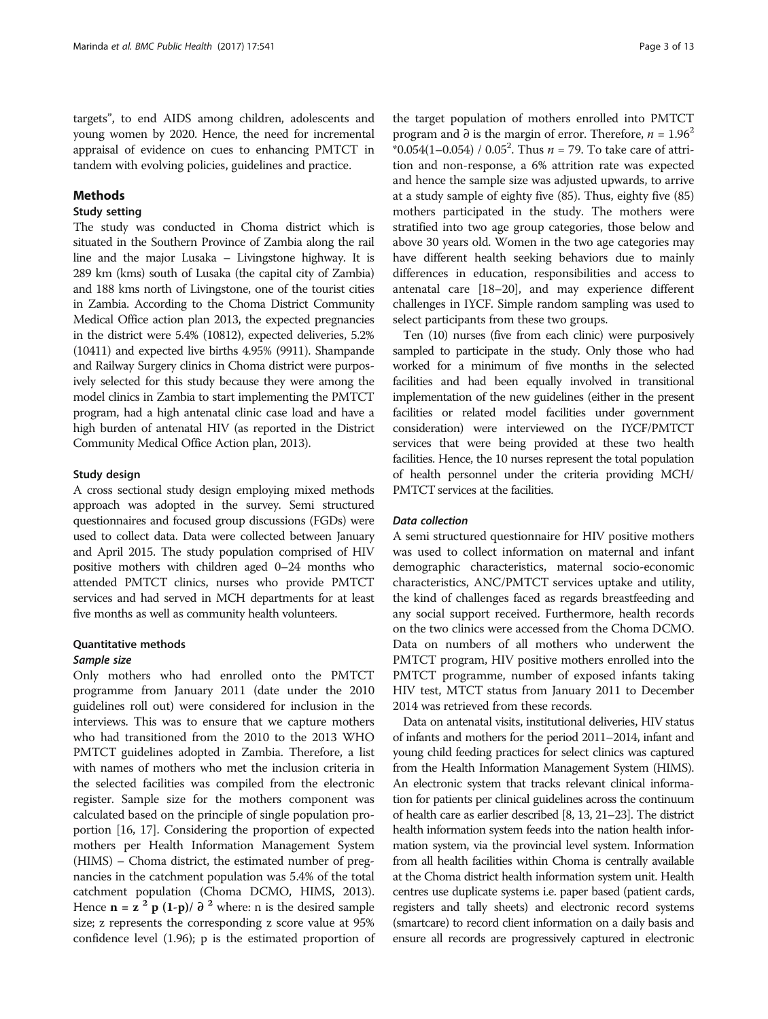targets", to end AIDS among children, adolescents and young women by 2020. Hence, the need for incremental appraisal of evidence on cues to enhancing PMTCT in tandem with evolving policies, guidelines and practice.

# Methods

#### Study setting

The study was conducted in Choma district which is situated in the Southern Province of Zambia along the rail line and the major Lusaka – Livingstone highway. It is 289 km (kms) south of Lusaka (the capital city of Zambia) and 188 kms north of Livingstone, one of the tourist cities in Zambia. According to the Choma District Community Medical Office action plan 2013, the expected pregnancies in the district were 5.4% (10812), expected deliveries, 5.2% (10411) and expected live births 4.95% (9911). Shampande and Railway Surgery clinics in Choma district were purposively selected for this study because they were among the model clinics in Zambia to start implementing the PMTCT program, had a high antenatal clinic case load and have a high burden of antenatal HIV (as reported in the District Community Medical Office Action plan, 2013).

#### Study design

A cross sectional study design employing mixed methods approach was adopted in the survey. Semi structured questionnaires and focused group discussions (FGDs) were used to collect data. Data were collected between January and April 2015. The study population comprised of HIV positive mothers with children aged 0–24 months who attended PMTCT clinics, nurses who provide PMTCT services and had served in MCH departments for at least five months as well as community health volunteers.

#### Quantitative methods

#### Sample size

Only mothers who had enrolled onto the PMTCT programme from January 2011 (date under the 2010 guidelines roll out) were considered for inclusion in the interviews. This was to ensure that we capture mothers who had transitioned from the 2010 to the 2013 WHO PMTCT guidelines adopted in Zambia. Therefore, a list with names of mothers who met the inclusion criteria in the selected facilities was compiled from the electronic register. Sample size for the mothers component was calculated based on the principle of single population proportion [\[16, 17](#page-11-0)]. Considering the proportion of expected mothers per Health Information Management System (HIMS) – Choma district, the estimated number of pregnancies in the catchment population was 5.4% of the total catchment population (Choma DCMO, HIMS, 2013). Hence  $\mathbf{n} = \mathbf{z}^2 \mathbf{p} (1-\mathbf{p}) / \partial^2$  where: n is the desired sample size; z represents the corresponding z score value at 95% confidence level (1.96); p is the estimated proportion of

the target population of mothers enrolled into PMTCT program and ∂ is the margin of error. Therefore,  $n = 1.96^2$  $*0.054(1-0.054) / 0.05^2$ . Thus  $n = 79$ . To take care of attrition and non-response, a 6% attrition rate was expected and hence the sample size was adjusted upwards, to arrive at a study sample of eighty five (85). Thus, eighty five (85) mothers participated in the study. The mothers were stratified into two age group categories, those below and above 30 years old. Women in the two age categories may have different health seeking behaviors due to mainly differences in education, responsibilities and access to antenatal care [\[18](#page-11-0)–[20](#page-11-0)], and may experience different challenges in IYCF. Simple random sampling was used to select participants from these two groups.

Ten (10) nurses (five from each clinic) were purposively sampled to participate in the study. Only those who had worked for a minimum of five months in the selected facilities and had been equally involved in transitional implementation of the new guidelines (either in the present facilities or related model facilities under government consideration) were interviewed on the IYCF/PMTCT services that were being provided at these two health facilities. Hence, the 10 nurses represent the total population of health personnel under the criteria providing MCH/ PMTCT services at the facilities.

# Data collection

A semi structured questionnaire for HIV positive mothers was used to collect information on maternal and infant demographic characteristics, maternal socio-economic characteristics, ANC/PMTCT services uptake and utility, the kind of challenges faced as regards breastfeeding and any social support received. Furthermore, health records on the two clinics were accessed from the Choma DCMO. Data on numbers of all mothers who underwent the PMTCT program, HIV positive mothers enrolled into the PMTCT programme, number of exposed infants taking HIV test, MTCT status from January 2011 to December 2014 was retrieved from these records.

Data on antenatal visits, institutional deliveries, HIV status of infants and mothers for the period 2011–2014, infant and young child feeding practices for select clinics was captured from the Health Information Management System (HIMS). An electronic system that tracks relevant clinical information for patients per clinical guidelines across the continuum of health care as earlier described [\[8, 13](#page-11-0), [21](#page-11-0)–[23](#page-12-0)]. The district health information system feeds into the nation health information system, via the provincial level system. Information from all health facilities within Choma is centrally available at the Choma district health information system unit. Health centres use duplicate systems i.e. paper based (patient cards, registers and tally sheets) and electronic record systems (smartcare) to record client information on a daily basis and ensure all records are progressively captured in electronic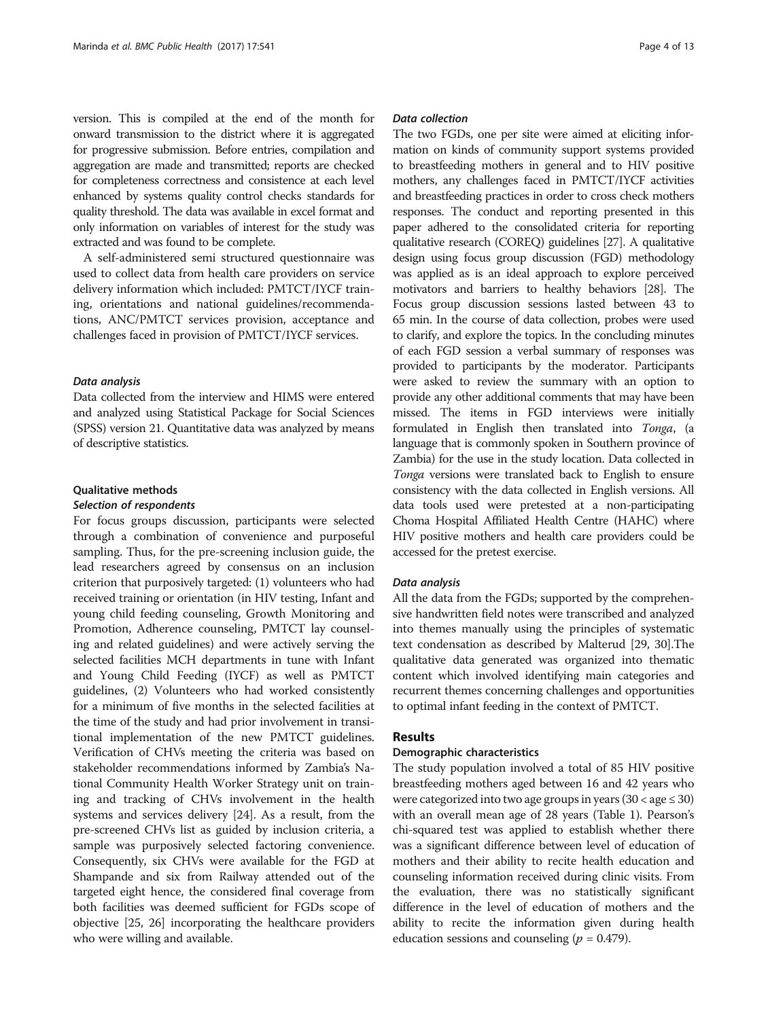version. This is compiled at the end of the month for onward transmission to the district where it is aggregated for progressive submission. Before entries, compilation and aggregation are made and transmitted; reports are checked for completeness correctness and consistence at each level enhanced by systems quality control checks standards for quality threshold. The data was available in excel format and only information on variables of interest for the study was extracted and was found to be complete.

A self-administered semi structured questionnaire was used to collect data from health care providers on service delivery information which included: PMTCT/IYCF training, orientations and national guidelines/recommendations, ANC/PMTCT services provision, acceptance and challenges faced in provision of PMTCT/IYCF services.

#### Data analysis

Data collected from the interview and HIMS were entered and analyzed using Statistical Package for Social Sciences (SPSS) version 21. Quantitative data was analyzed by means of descriptive statistics.

# Qualitative methods

#### Selection of respondents

For focus groups discussion, participants were selected through a combination of convenience and purposeful sampling. Thus, for the pre-screening inclusion guide, the lead researchers agreed by consensus on an inclusion criterion that purposively targeted: (1) volunteers who had received training or orientation (in HIV testing, Infant and young child feeding counseling, Growth Monitoring and Promotion, Adherence counseling, PMTCT lay counseling and related guidelines) and were actively serving the selected facilities MCH departments in tune with Infant and Young Child Feeding (IYCF) as well as PMTCT guidelines, (2) Volunteers who had worked consistently for a minimum of five months in the selected facilities at the time of the study and had prior involvement in transitional implementation of the new PMTCT guidelines. Verification of CHVs meeting the criteria was based on stakeholder recommendations informed by Zambia's National Community Health Worker Strategy unit on training and tracking of CHVs involvement in the health systems and services delivery [[24](#page-12-0)]. As a result, from the pre-screened CHVs list as guided by inclusion criteria, a sample was purposively selected factoring convenience. Consequently, six CHVs were available for the FGD at Shampande and six from Railway attended out of the targeted eight hence, the considered final coverage from both facilities was deemed sufficient for FGDs scope of objective [\[25](#page-12-0), [26](#page-12-0)] incorporating the healthcare providers who were willing and available.

# Data collection

The two FGDs, one per site were aimed at eliciting information on kinds of community support systems provided to breastfeeding mothers in general and to HIV positive mothers, any challenges faced in PMTCT/IYCF activities and breastfeeding practices in order to cross check mothers responses. The conduct and reporting presented in this paper adhered to the consolidated criteria for reporting qualitative research (COREQ) guidelines [[27](#page-12-0)]. A qualitative design using focus group discussion (FGD) methodology was applied as is an ideal approach to explore perceived motivators and barriers to healthy behaviors [\[28\]](#page-12-0). The Focus group discussion sessions lasted between 43 to 65 min. In the course of data collection, probes were used to clarify, and explore the topics. In the concluding minutes of each FGD session a verbal summary of responses was provided to participants by the moderator. Participants were asked to review the summary with an option to provide any other additional comments that may have been missed. The items in FGD interviews were initially formulated in English then translated into Tonga, (a language that is commonly spoken in Southern province of Zambia) for the use in the study location. Data collected in Tonga versions were translated back to English to ensure consistency with the data collected in English versions. All data tools used were pretested at a non-participating Choma Hospital Affiliated Health Centre (HAHC) where HIV positive mothers and health care providers could be accessed for the pretest exercise.

#### Data analysis

All the data from the FGDs; supported by the comprehensive handwritten field notes were transcribed and analyzed into themes manually using the principles of systematic text condensation as described by Malterud [\[29, 30](#page-12-0)].The qualitative data generated was organized into thematic content which involved identifying main categories and recurrent themes concerning challenges and opportunities to optimal infant feeding in the context of PMTCT.

# Results

#### Demographic characteristics

The study population involved a total of 85 HIV positive breastfeeding mothers aged between 16 and 42 years who were categorized into two age groups in years  $(30 <$  age  $\leq 30)$ with an overall mean age of 28 years (Table [1](#page-4-0)). Pearson's chi-squared test was applied to establish whether there was a significant difference between level of education of mothers and their ability to recite health education and counseling information received during clinic visits. From the evaluation, there was no statistically significant difference in the level of education of mothers and the ability to recite the information given during health education sessions and counseling ( $p = 0.479$ ).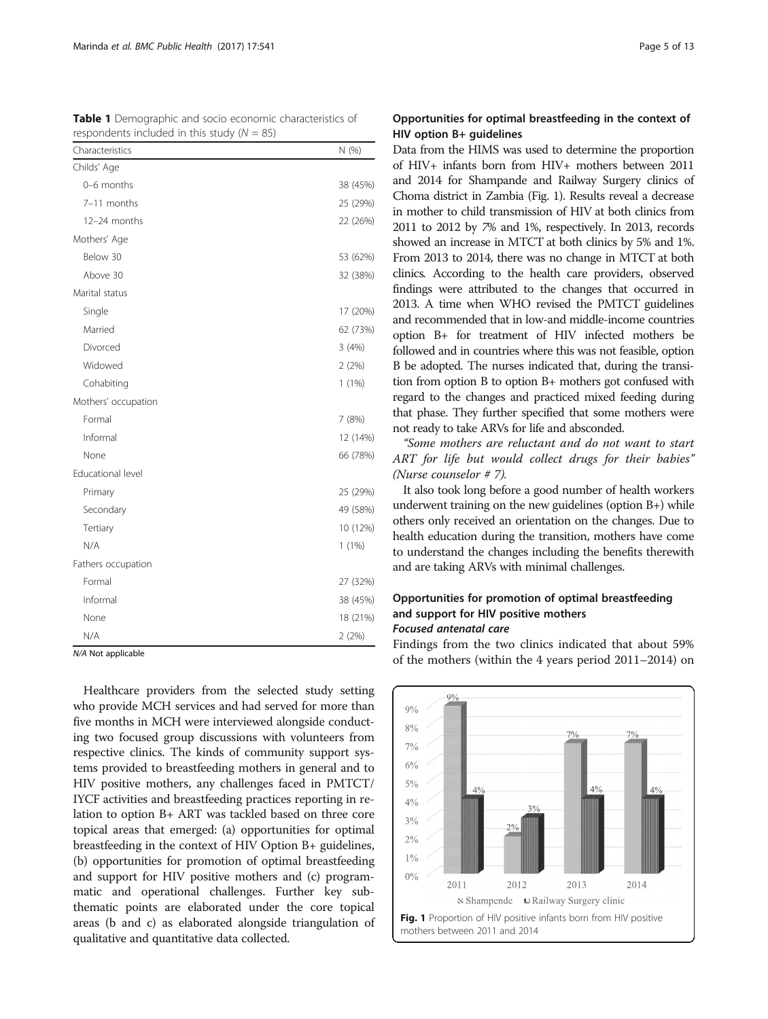| $i$ caporiactita included in this study (iv $-$ 03) |  |
|-----------------------------------------------------|--|
| N(%)                                                |  |
|                                                     |  |
| 38 (45%)                                            |  |
| 25 (29%)                                            |  |
| 22 (26%)                                            |  |
|                                                     |  |
| 53 (62%)                                            |  |
| 32 (38%)                                            |  |
|                                                     |  |
| 17 (20%)                                            |  |
| 62 (73%)                                            |  |
| 3(4%)                                               |  |
| 2(2%)                                               |  |
| $1(1\%)$                                            |  |
|                                                     |  |
| 7(8%)                                               |  |
| 12 (14%)                                            |  |
| 66 (78%)                                            |  |
|                                                     |  |
| 25 (29%)                                            |  |
| 49 (58%)                                            |  |
| 10 (12%)                                            |  |
| 1(1%)                                               |  |
|                                                     |  |
| 27 (32%)                                            |  |
| 38 (45%)                                            |  |
| 18 (21%)                                            |  |
| 2(2%)                                               |  |
|                                                     |  |

<span id="page-4-0"></span>Table 1 Demographic and socio economic characteristics of respondents included in this study  $(N = 95)$ 

N/A Not applicable

Healthcare providers from the selected study setting who provide MCH services and had served for more than five months in MCH were interviewed alongside conducting two focused group discussions with volunteers from respective clinics. The kinds of community support systems provided to breastfeeding mothers in general and to HIV positive mothers, any challenges faced in PMTCT/ IYCF activities and breastfeeding practices reporting in relation to option B+ ART was tackled based on three core topical areas that emerged: (a) opportunities for optimal breastfeeding in the context of HIV Option B+ guidelines, (b) opportunities for promotion of optimal breastfeeding and support for HIV positive mothers and (c) programmatic and operational challenges. Further key subthematic points are elaborated under the core topical areas (b and c) as elaborated alongside triangulation of qualitative and quantitative data collected.

# Opportunities for optimal breastfeeding in the context of HIV option B+ guidelines

Data from the HIMS was used to determine the proportion of HIV+ infants born from HIV+ mothers between 2011 and 2014 for Shampande and Railway Surgery clinics of Choma district in Zambia (Fig. 1). Results reveal a decrease in mother to child transmission of HIV at both clinics from 2011 to 2012 by 7% and 1%, respectively. In 2013, records showed an increase in MTCT at both clinics by 5% and 1%. From 2013 to 2014, there was no change in MTCT at both clinics. According to the health care providers, observed findings were attributed to the changes that occurred in 2013. A time when WHO revised the PMTCT guidelines and recommended that in low-and middle-income countries option B+ for treatment of HIV infected mothers be followed and in countries where this was not feasible, option B be adopted. The nurses indicated that, during the transition from option B to option B+ mothers got confused with regard to the changes and practiced mixed feeding during that phase. They further specified that some mothers were not ready to take ARVs for life and absconded.

"Some mothers are reluctant and do not want to start ART for life but would collect drugs for their babies" (Nurse counselor # 7).

It also took long before a good number of health workers underwent training on the new guidelines (option B+) while others only received an orientation on the changes. Due to health education during the transition, mothers have come to understand the changes including the benefits therewith and are taking ARVs with minimal challenges.

# Opportunities for promotion of optimal breastfeeding and support for HIV positive mothers Focused antenatal care

Findings from the two clinics indicated that about 59% of the mothers (within the 4 years period 2011–2014) on

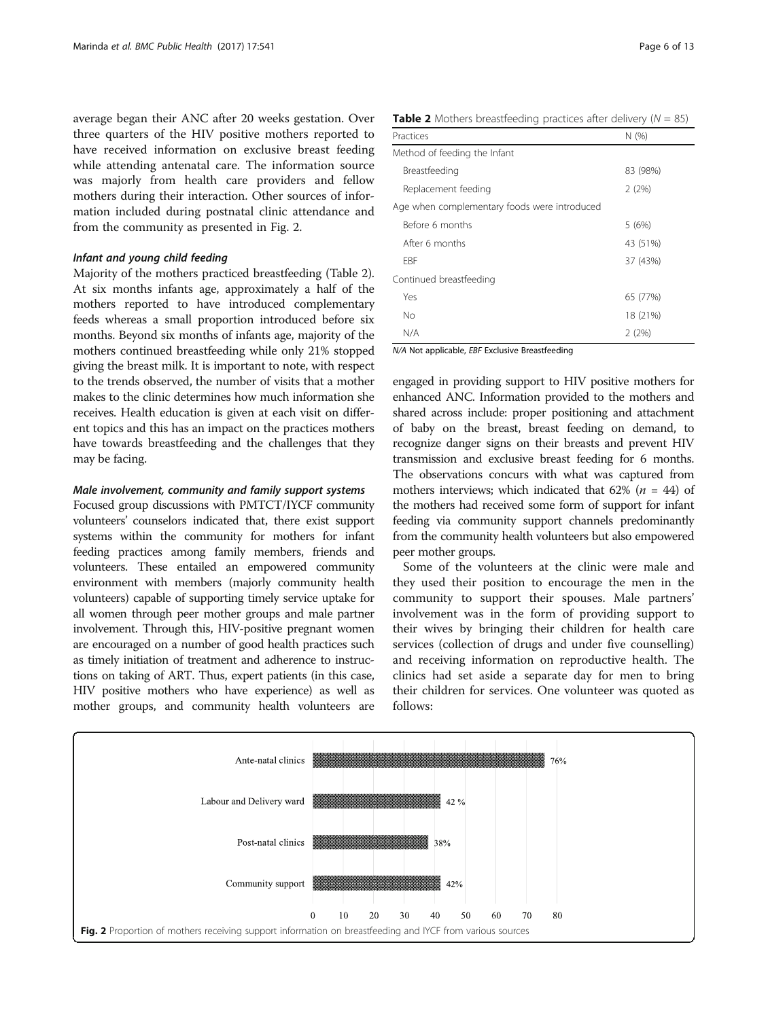average began their ANC after 20 weeks gestation. Over three quarters of the HIV positive mothers reported to have received information on exclusive breast feeding while attending antenatal care. The information source was majorly from health care providers and fellow mothers during their interaction. Other sources of information included during postnatal clinic attendance and from the community as presented in Fig. 2.

# Infant and young child feeding

Majority of the mothers practiced breastfeeding (Table 2). At six months infants age, approximately a half of the mothers reported to have introduced complementary feeds whereas a small proportion introduced before six months. Beyond six months of infants age, majority of the mothers continued breastfeeding while only 21% stopped giving the breast milk. It is important to note, with respect to the trends observed, the number of visits that a mother makes to the clinic determines how much information she receives. Health education is given at each visit on different topics and this has an impact on the practices mothers have towards breastfeeding and the challenges that they may be facing.

#### Male involvement, community and family support systems

Focused group discussions with PMTCT/IYCF community volunteers' counselors indicated that, there exist support systems within the community for mothers for infant feeding practices among family members, friends and volunteers. These entailed an empowered community environment with members (majorly community health volunteers) capable of supporting timely service uptake for all women through peer mother groups and male partner involvement. Through this, HIV-positive pregnant women are encouraged on a number of good health practices such as timely initiation of treatment and adherence to instructions on taking of ART. Thus, expert patients (in this case, HIV positive mothers who have experience) as well as mother groups, and community health volunteers are

**Table 2** Mothers breastfeeding practices after delivery ( $N = 85$ )

| Practices                                    | N(% )    |
|----------------------------------------------|----------|
| Method of feeding the Infant                 |          |
| Breastfeeding                                | 83 (98%) |
| Replacement feeding                          | 2(2%)    |
| Age when complementary foods were introduced |          |
| Before 6 months                              | 5(6%)    |
| After 6 months                               | 43 (51%) |
| <b>FBF</b>                                   | 37 (43%) |
| Continued breastfeeding                      |          |
| Yes                                          | 65 (77%) |
| No                                           | 18 (21%) |
| N/A                                          | 2(2%)    |

N/A Not applicable, EBF Exclusive Breastfeeding

engaged in providing support to HIV positive mothers for enhanced ANC. Information provided to the mothers and shared across include: proper positioning and attachment of baby on the breast, breast feeding on demand, to recognize danger signs on their breasts and prevent HIV transmission and exclusive breast feeding for 6 months. The observations concurs with what was captured from mothers interviews; which indicated that 62% ( $n = 44$ ) of the mothers had received some form of support for infant feeding via community support channels predominantly from the community health volunteers but also empowered peer mother groups.

Some of the volunteers at the clinic were male and they used their position to encourage the men in the community to support their spouses. Male partners' involvement was in the form of providing support to their wives by bringing their children for health care services (collection of drugs and under five counselling) and receiving information on reproductive health. The clinics had set aside a separate day for men to bring their children for services. One volunteer was quoted as follows:

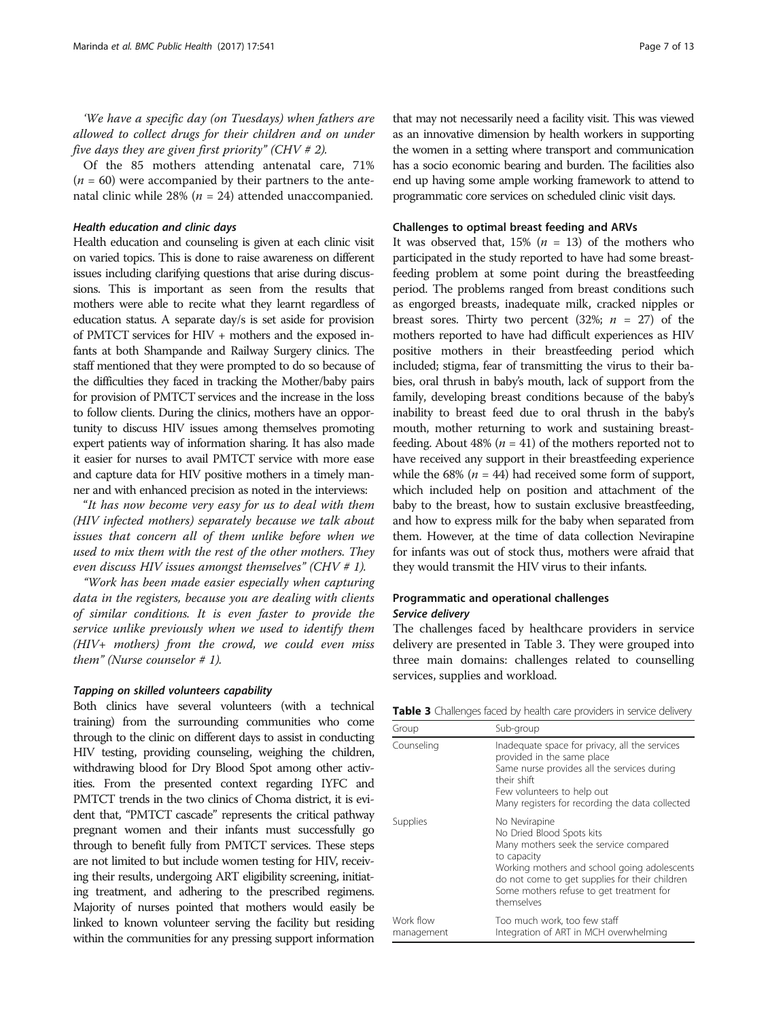'We have a specific day (on Tuesdays) when fathers are allowed to collect drugs for their children and on under five days they are given first priority" (CHV  $# 2$ ).

Of the 85 mothers attending antenatal care, 71%  $(n = 60)$  were accompanied by their partners to the antenatal clinic while 28% ( $n = 24$ ) attended unaccompanied.

#### Health education and clinic days

Health education and counseling is given at each clinic visit on varied topics. This is done to raise awareness on different issues including clarifying questions that arise during discussions. This is important as seen from the results that mothers were able to recite what they learnt regardless of education status. A separate day/s is set aside for provision of PMTCT services for HIV + mothers and the exposed infants at both Shampande and Railway Surgery clinics. The staff mentioned that they were prompted to do so because of the difficulties they faced in tracking the Mother/baby pairs for provision of PMTCT services and the increase in the loss to follow clients. During the clinics, mothers have an opportunity to discuss HIV issues among themselves promoting expert patients way of information sharing. It has also made it easier for nurses to avail PMTCT service with more ease and capture data for HIV positive mothers in a timely manner and with enhanced precision as noted in the interviews:

"It has now become very easy for us to deal with them (HIV infected mothers) separately because we talk about issues that concern all of them unlike before when we used to mix them with the rest of the other mothers. They even discuss HIV issues amongst themselves" (CHV  $# 1$ ).

"Work has been made easier especially when capturing data in the registers, because you are dealing with clients of similar conditions. It is even faster to provide the service unlike previously when we used to identify them (HIV+ mothers) from the crowd, we could even miss them" (Nurse counselor  $# 1$ ).

#### Tapping on skilled volunteers capability

Both clinics have several volunteers (with a technical training) from the surrounding communities who come through to the clinic on different days to assist in conducting HIV testing, providing counseling, weighing the children, withdrawing blood for Dry Blood Spot among other activities. From the presented context regarding IYFC and PMTCT trends in the two clinics of Choma district, it is evident that, "PMTCT cascade" represents the critical pathway pregnant women and their infants must successfully go through to benefit fully from PMTCT services. These steps are not limited to but include women testing for HIV, receiving their results, undergoing ART eligibility screening, initiating treatment, and adhering to the prescribed regimens. Majority of nurses pointed that mothers would easily be linked to known volunteer serving the facility but residing within the communities for any pressing support information

that may not necessarily need a facility visit. This was viewed as an innovative dimension by health workers in supporting the women in a setting where transport and communication has a socio economic bearing and burden. The facilities also end up having some ample working framework to attend to programmatic core services on scheduled clinic visit days.

#### Challenges to optimal breast feeding and ARVs

It was observed that,  $15\%$  ( $n = 13$ ) of the mothers who participated in the study reported to have had some breastfeeding problem at some point during the breastfeeding period. The problems ranged from breast conditions such as engorged breasts, inadequate milk, cracked nipples or breast sores. Thirty two percent (32%;  $n = 27$ ) of the mothers reported to have had difficult experiences as HIV positive mothers in their breastfeeding period which included; stigma, fear of transmitting the virus to their babies, oral thrush in baby's mouth, lack of support from the family, developing breast conditions because of the baby's inability to breast feed due to oral thrush in the baby's mouth, mother returning to work and sustaining breastfeeding. About 48% ( $n = 41$ ) of the mothers reported not to have received any support in their breastfeeding experience while the 68% ( $n = 44$ ) had received some form of support, which included help on position and attachment of the baby to the breast, how to sustain exclusive breastfeeding, and how to express milk for the baby when separated from them. However, at the time of data collection Nevirapine for infants was out of stock thus, mothers were afraid that they would transmit the HIV virus to their infants.

# Programmatic and operational challenges Service delivery

The challenges faced by healthcare providers in service delivery are presented in Table 3. They were grouped into three main domains: challenges related to counselling services, supplies and workload.

Table 3 Challenges faced by health care providers in service delivery

| Group                   | Sub-group                                                                                                                                                                                                                                                       |
|-------------------------|-----------------------------------------------------------------------------------------------------------------------------------------------------------------------------------------------------------------------------------------------------------------|
| Counseling              | Inadequate space for privacy, all the services<br>provided in the same place<br>Same nurse provides all the services during<br>their shift<br>Few volunteers to help out<br>Many registers for recording the data collected                                     |
| Supplies                | No Nevirapine<br>No Dried Blood Spots kits<br>Many mothers seek the service compared<br>to capacity<br>Working mothers and school going adolescents<br>do not come to get supplies for their children<br>Some mothers refuse to get treatment for<br>themselves |
| Work flow<br>management | Too much work, too few staff<br>Integration of ART in MCH overwhelming                                                                                                                                                                                          |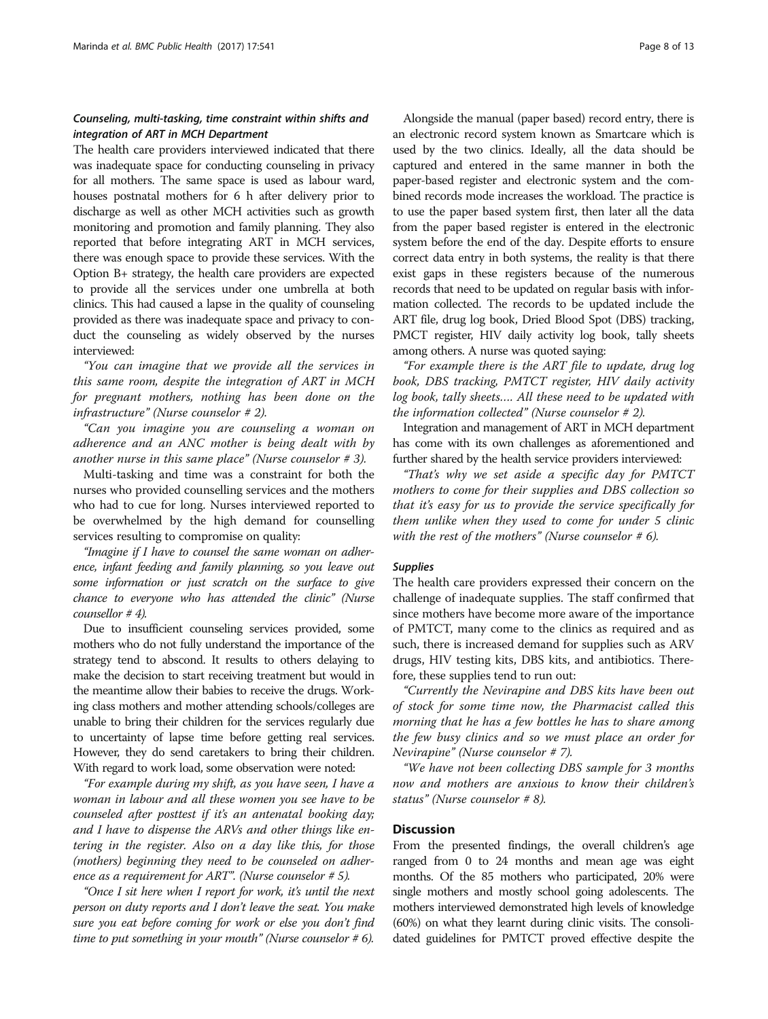# Counseling, multi-tasking, time constraint within shifts and integration of ART in MCH Department

The health care providers interviewed indicated that there was inadequate space for conducting counseling in privacy for all mothers. The same space is used as labour ward, houses postnatal mothers for 6 h after delivery prior to discharge as well as other MCH activities such as growth monitoring and promotion and family planning. They also reported that before integrating ART in MCH services, there was enough space to provide these services. With the Option B+ strategy, the health care providers are expected to provide all the services under one umbrella at both clinics. This had caused a lapse in the quality of counseling provided as there was inadequate space and privacy to conduct the counseling as widely observed by the nurses interviewed:

"You can imagine that we provide all the services in this same room, despite the integration of ART in MCH for pregnant mothers, nothing has been done on the infrastructure" (Nurse counselor # 2).

"Can you imagine you are counseling a woman on adherence and an ANC mother is being dealt with by another nurse in this same place" (Nurse counselor # 3).

Multi-tasking and time was a constraint for both the nurses who provided counselling services and the mothers who had to cue for long. Nurses interviewed reported to be overwhelmed by the high demand for counselling services resulting to compromise on quality:

"Imagine if I have to counsel the same woman on adherence, infant feeding and family planning, so you leave out some information or just scratch on the surface to give chance to everyone who has attended the clinic" (Nurse counsellor # 4).

Due to insufficient counseling services provided, some mothers who do not fully understand the importance of the strategy tend to abscond. It results to others delaying to make the decision to start receiving treatment but would in the meantime allow their babies to receive the drugs. Working class mothers and mother attending schools/colleges are unable to bring their children for the services regularly due to uncertainty of lapse time before getting real services. However, they do send caretakers to bring their children. With regard to work load, some observation were noted:

"For example during my shift, as you have seen, I have a woman in labour and all these women you see have to be counseled after posttest if it's an antenatal booking day; and I have to dispense the ARVs and other things like entering in the register. Also on a day like this, for those (mothers) beginning they need to be counseled on adherence as a requirement for ART". (Nurse counselor # 5).

"Once I sit here when I report for work, it's until the next person on duty reports and I don't leave the seat. You make sure you eat before coming for work or else you don't find time to put something in your mouth" (Nurse counselor  $# 6$ ).

Alongside the manual (paper based) record entry, there is an electronic record system known as Smartcare which is used by the two clinics. Ideally, all the data should be captured and entered in the same manner in both the paper-based register and electronic system and the combined records mode increases the workload. The practice is to use the paper based system first, then later all the data from the paper based register is entered in the electronic system before the end of the day. Despite efforts to ensure correct data entry in both systems, the reality is that there exist gaps in these registers because of the numerous records that need to be updated on regular basis with information collected. The records to be updated include the ART file, drug log book, Dried Blood Spot (DBS) tracking, PMCT register, HIV daily activity log book, tally sheets among others. A nurse was quoted saying:

"For example there is the ART file to update, drug log book, DBS tracking, PMTCT register, HIV daily activity log book, tally sheets…. All these need to be updated with the information collected" (Nurse counselor # 2).

Integration and management of ART in MCH department has come with its own challenges as aforementioned and further shared by the health service providers interviewed:

"That's why we set aside a specific day for PMTCT mothers to come for their supplies and DBS collection so that it's easy for us to provide the service specifically for them unlike when they used to come for under 5 clinic with the rest of the mothers" (Nurse counselor  $# 6$ ).

#### **Supplies**

The health care providers expressed their concern on the challenge of inadequate supplies. The staff confirmed that since mothers have become more aware of the importance of PMTCT, many come to the clinics as required and as such, there is increased demand for supplies such as ARV drugs, HIV testing kits, DBS kits, and antibiotics. Therefore, these supplies tend to run out:

"Currently the Nevirapine and DBS kits have been out of stock for some time now, the Pharmacist called this morning that he has a few bottles he has to share among the few busy clinics and so we must place an order for Nevirapine" (Nurse counselor # 7).

"We have not been collecting DBS sample for 3 months now and mothers are anxious to know their children's status" (Nurse counselor # 8).

# **Discussion**

From the presented findings, the overall children's age ranged from 0 to 24 months and mean age was eight months. Of the 85 mothers who participated, 20% were single mothers and mostly school going adolescents. The mothers interviewed demonstrated high levels of knowledge (60%) on what they learnt during clinic visits. The consolidated guidelines for PMTCT proved effective despite the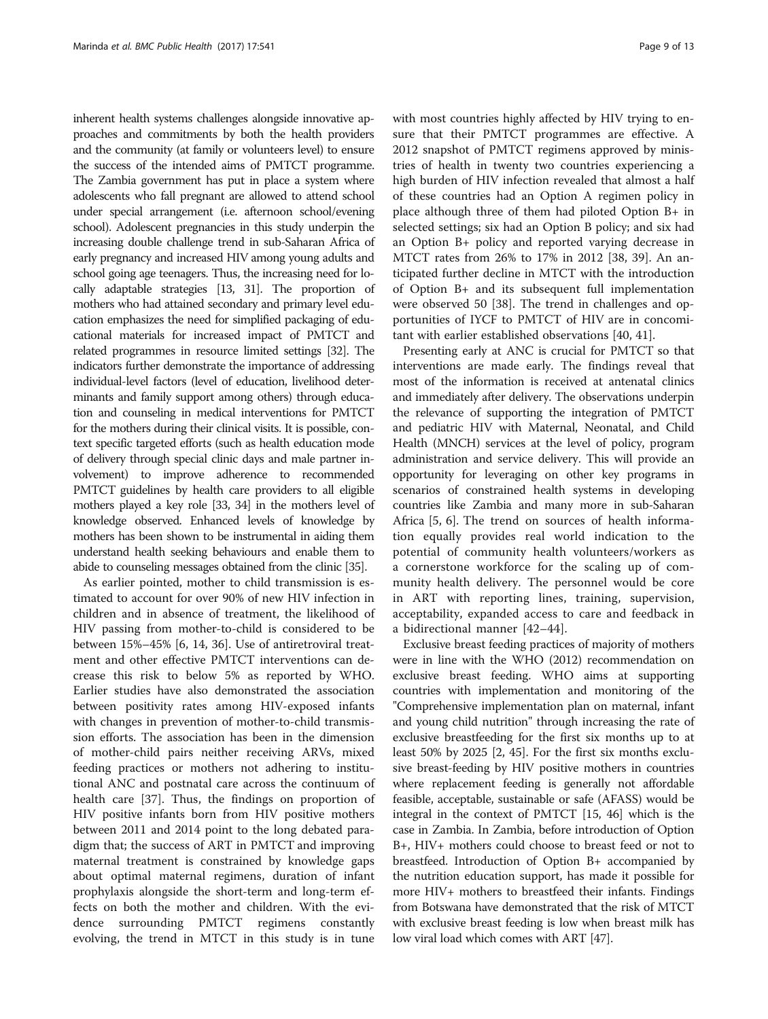inherent health systems challenges alongside innovative approaches and commitments by both the health providers and the community (at family or volunteers level) to ensure the success of the intended aims of PMTCT programme. The Zambia government has put in place a system where adolescents who fall pregnant are allowed to attend school under special arrangement (i.e. afternoon school/evening school). Adolescent pregnancies in this study underpin the increasing double challenge trend in sub-Saharan Africa of early pregnancy and increased HIV among young adults and school going age teenagers. Thus, the increasing need for locally adaptable strategies [\[13](#page-11-0), [31\]](#page-12-0). The proportion of mothers who had attained secondary and primary level education emphasizes the need for simplified packaging of educational materials for increased impact of PMTCT and related programmes in resource limited settings [\[32\]](#page-12-0). The indicators further demonstrate the importance of addressing individual-level factors (level of education, livelihood determinants and family support among others) through education and counseling in medical interventions for PMTCT for the mothers during their clinical visits. It is possible, context specific targeted efforts (such as health education mode of delivery through special clinic days and male partner involvement) to improve adherence to recommended PMTCT guidelines by health care providers to all eligible mothers played a key role [\[33, 34\]](#page-12-0) in the mothers level of knowledge observed. Enhanced levels of knowledge by mothers has been shown to be instrumental in aiding them understand health seeking behaviours and enable them to abide to counseling messages obtained from the clinic [\[35\]](#page-12-0).

As earlier pointed, mother to child transmission is estimated to account for over 90% of new HIV infection in children and in absence of treatment, the likelihood of HIV passing from mother-to-child is considered to be between 15%–45% [\[6, 14](#page-11-0), [36](#page-12-0)]. Use of antiretroviral treatment and other effective PMTCT interventions can decrease this risk to below 5% as reported by WHO. Earlier studies have also demonstrated the association between positivity rates among HIV-exposed infants with changes in prevention of mother-to-child transmission efforts. The association has been in the dimension of mother-child pairs neither receiving ARVs, mixed feeding practices or mothers not adhering to institutional ANC and postnatal care across the continuum of health care [\[37](#page-12-0)]. Thus, the findings on proportion of HIV positive infants born from HIV positive mothers between 2011 and 2014 point to the long debated paradigm that; the success of ART in PMTCT and improving maternal treatment is constrained by knowledge gaps about optimal maternal regimens, duration of infant prophylaxis alongside the short-term and long-term effects on both the mother and children. With the evidence surrounding PMTCT regimens constantly evolving, the trend in MTCT in this study is in tune with most countries highly affected by HIV trying to ensure that their PMTCT programmes are effective. A 2012 snapshot of PMTCT regimens approved by ministries of health in twenty two countries experiencing a high burden of HIV infection revealed that almost a half of these countries had an Option A regimen policy in place although three of them had piloted Option B+ in selected settings; six had an Option B policy; and six had an Option B+ policy and reported varying decrease in MTCT rates from 26% to 17% in 2012 [[38](#page-12-0), [39](#page-12-0)]. An anticipated further decline in MTCT with the introduction of Option B+ and its subsequent full implementation were observed 50 [[38](#page-12-0)]. The trend in challenges and opportunities of IYCF to PMTCT of HIV are in concomitant with earlier established observations [\[40](#page-12-0), [41](#page-12-0)].

Presenting early at ANC is crucial for PMTCT so that interventions are made early. The findings reveal that most of the information is received at antenatal clinics and immediately after delivery. The observations underpin the relevance of supporting the integration of PMTCT and pediatric HIV with Maternal, Neonatal, and Child Health (MNCH) services at the level of policy, program administration and service delivery. This will provide an opportunity for leveraging on other key programs in scenarios of constrained health systems in developing countries like Zambia and many more in sub-Saharan Africa [[5](#page-11-0), [6\]](#page-11-0). The trend on sources of health information equally provides real world indication to the potential of community health volunteers/workers as a cornerstone workforce for the scaling up of community health delivery. The personnel would be core in ART with reporting lines, training, supervision, acceptability, expanded access to care and feedback in a bidirectional manner [[42](#page-12-0)–[44\]](#page-12-0).

Exclusive breast feeding practices of majority of mothers were in line with the WHO (2012) recommendation on exclusive breast feeding. WHO aims at supporting countries with implementation and monitoring of the "Comprehensive implementation plan on maternal, infant and young child nutrition" through increasing the rate of exclusive breastfeeding for the first six months up to at least 50% by 2025 [[2,](#page-11-0) [45\]](#page-12-0). For the first six months exclusive breast-feeding by HIV positive mothers in countries where replacement feeding is generally not affordable feasible, acceptable, sustainable or safe (AFASS) would be integral in the context of PMTCT [[15](#page-11-0), [46](#page-12-0)] which is the case in Zambia. In Zambia, before introduction of Option B+, HIV+ mothers could choose to breast feed or not to breastfeed. Introduction of Option B+ accompanied by the nutrition education support, has made it possible for more HIV+ mothers to breastfeed their infants. Findings from Botswana have demonstrated that the risk of MTCT with exclusive breast feeding is low when breast milk has low viral load which comes with ART [[47](#page-12-0)].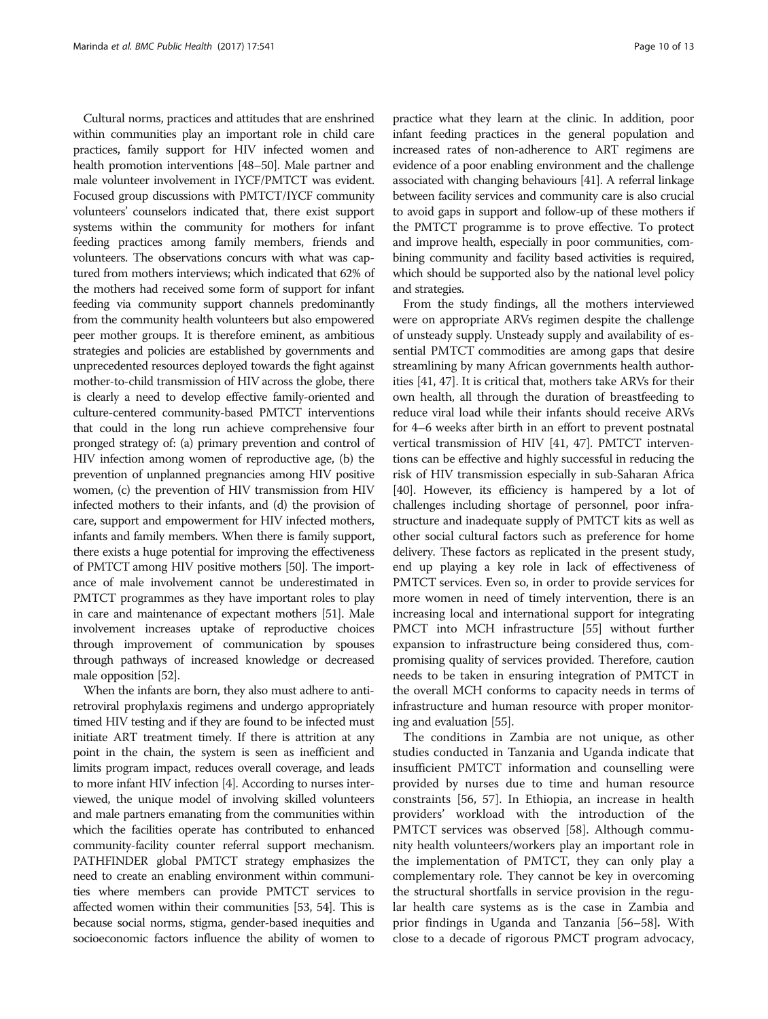Cultural norms, practices and attitudes that are enshrined within communities play an important role in child care practices, family support for HIV infected women and health promotion interventions [\[48](#page-12-0)–[50](#page-12-0)]. Male partner and male volunteer involvement in IYCF/PMTCT was evident. Focused group discussions with PMTCT/IYCF community volunteers' counselors indicated that, there exist support systems within the community for mothers for infant feeding practices among family members, friends and volunteers. The observations concurs with what was captured from mothers interviews; which indicated that 62% of the mothers had received some form of support for infant feeding via community support channels predominantly from the community health volunteers but also empowered peer mother groups. It is therefore eminent, as ambitious strategies and policies are established by governments and unprecedented resources deployed towards the fight against mother-to-child transmission of HIV across the globe, there is clearly a need to develop effective family-oriented and culture-centered community-based PMTCT interventions that could in the long run achieve comprehensive four pronged strategy of: (a) primary prevention and control of HIV infection among women of reproductive age, (b) the prevention of unplanned pregnancies among HIV positive women, (c) the prevention of HIV transmission from HIV infected mothers to their infants, and (d) the provision of care, support and empowerment for HIV infected mothers, infants and family members. When there is family support, there exists a huge potential for improving the effectiveness of PMTCT among HIV positive mothers [\[50\]](#page-12-0). The importance of male involvement cannot be underestimated in PMTCT programmes as they have important roles to play in care and maintenance of expectant mothers [\[51\]](#page-12-0). Male involvement increases uptake of reproductive choices through improvement of communication by spouses through pathways of increased knowledge or decreased male opposition [\[52\]](#page-12-0).

When the infants are born, they also must adhere to antiretroviral prophylaxis regimens and undergo appropriately timed HIV testing and if they are found to be infected must initiate ART treatment timely. If there is attrition at any point in the chain, the system is seen as inefficient and limits program impact, reduces overall coverage, and leads to more infant HIV infection [\[4\]](#page-11-0). According to nurses interviewed, the unique model of involving skilled volunteers and male partners emanating from the communities within which the facilities operate has contributed to enhanced community-facility counter referral support mechanism. PATHFINDER global PMTCT strategy emphasizes the need to create an enabling environment within communities where members can provide PMTCT services to affected women within their communities [[53](#page-12-0), [54](#page-12-0)]. This is because social norms, stigma, gender-based inequities and socioeconomic factors influence the ability of women to

practice what they learn at the clinic. In addition, poor infant feeding practices in the general population and increased rates of non-adherence to ART regimens are evidence of a poor enabling environment and the challenge associated with changing behaviours [\[41\]](#page-12-0). A referral linkage between facility services and community care is also crucial to avoid gaps in support and follow-up of these mothers if the PMTCT programme is to prove effective. To protect and improve health, especially in poor communities, combining community and facility based activities is required, which should be supported also by the national level policy and strategies.

From the study findings, all the mothers interviewed were on appropriate ARVs regimen despite the challenge of unsteady supply. Unsteady supply and availability of essential PMTCT commodities are among gaps that desire streamlining by many African governments health authorities [\[41](#page-12-0), [47](#page-12-0)]. It is critical that, mothers take ARVs for their own health, all through the duration of breastfeeding to reduce viral load while their infants should receive ARVs for 4–6 weeks after birth in an effort to prevent postnatal vertical transmission of HIV [\[41, 47\]](#page-12-0). PMTCT interventions can be effective and highly successful in reducing the risk of HIV transmission especially in sub-Saharan Africa [[40](#page-12-0)]. However, its efficiency is hampered by a lot of challenges including shortage of personnel, poor infrastructure and inadequate supply of PMTCT kits as well as other social cultural factors such as preference for home delivery. These factors as replicated in the present study, end up playing a key role in lack of effectiveness of PMTCT services. Even so, in order to provide services for more women in need of timely intervention, there is an increasing local and international support for integrating PMCT into MCH infrastructure [\[55](#page-12-0)] without further expansion to infrastructure being considered thus, compromising quality of services provided. Therefore, caution needs to be taken in ensuring integration of PMTCT in the overall MCH conforms to capacity needs in terms of infrastructure and human resource with proper monitoring and evaluation [\[55\]](#page-12-0).

The conditions in Zambia are not unique, as other studies conducted in Tanzania and Uganda indicate that insufficient PMTCT information and counselling were provided by nurses due to time and human resource constraints [[56](#page-12-0), [57](#page-12-0)]. In Ethiopia, an increase in health providers' workload with the introduction of the PMTCT services was observed [[58\]](#page-12-0). Although community health volunteers/workers play an important role in the implementation of PMTCT, they can only play a complementary role. They cannot be key in overcoming the structural shortfalls in service provision in the regular health care systems as is the case in Zambia and prior findings in Uganda and Tanzania [[56](#page-12-0)–[58](#page-12-0)]. With close to a decade of rigorous PMCT program advocacy,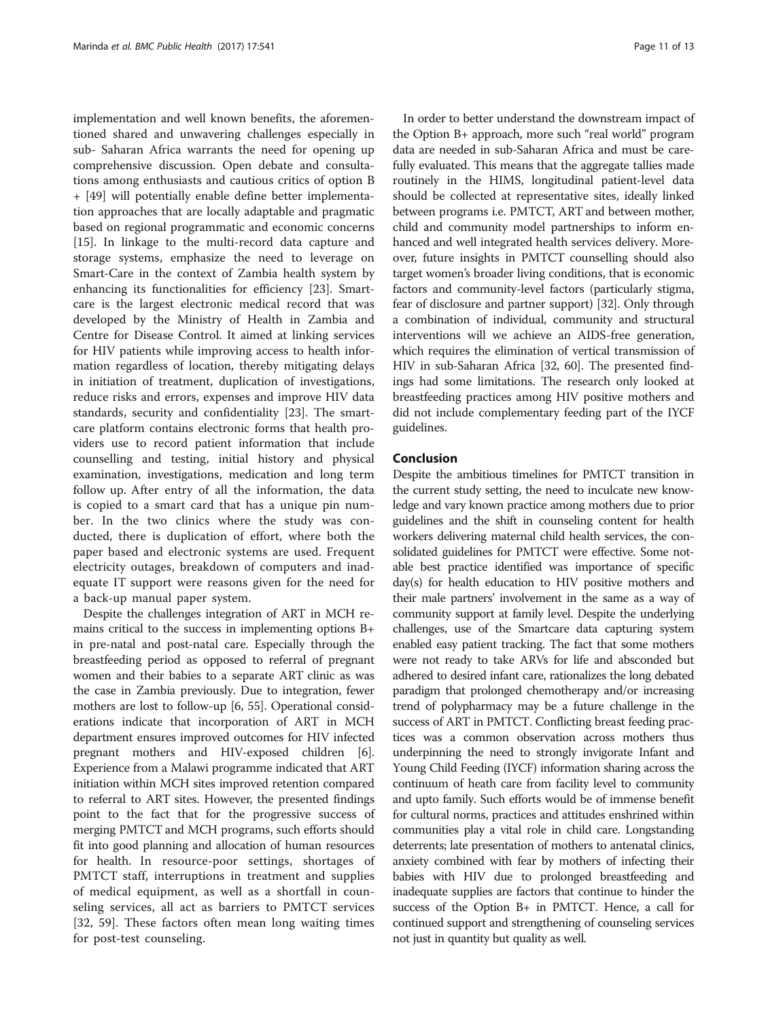implementation and well known benefits, the aforementioned shared and unwavering challenges especially in sub- Saharan Africa warrants the need for opening up comprehensive discussion. Open debate and consultations among enthusiasts and cautious critics of option B + [[49](#page-12-0)] will potentially enable define better implementation approaches that are locally adaptable and pragmatic based on regional programmatic and economic concerns [[15\]](#page-11-0). In linkage to the multi-record data capture and storage systems, emphasize the need to leverage on Smart-Care in the context of Zambia health system by enhancing its functionalities for efficiency [[23\]](#page-12-0). Smartcare is the largest electronic medical record that was developed by the Ministry of Health in Zambia and Centre for Disease Control. It aimed at linking services for HIV patients while improving access to health information regardless of location, thereby mitigating delays in initiation of treatment, duplication of investigations, reduce risks and errors, expenses and improve HIV data standards, security and confidentiality [[23\]](#page-12-0). The smartcare platform contains electronic forms that health providers use to record patient information that include counselling and testing, initial history and physical examination, investigations, medication and long term follow up. After entry of all the information, the data is copied to a smart card that has a unique pin number. In the two clinics where the study was conducted, there is duplication of effort, where both the paper based and electronic systems are used. Frequent electricity outages, breakdown of computers and inadequate IT support were reasons given for the need for a back-up manual paper system.

Despite the challenges integration of ART in MCH remains critical to the success in implementing options B+ in pre-natal and post-natal care. Especially through the breastfeeding period as opposed to referral of pregnant women and their babies to a separate ART clinic as was the case in Zambia previously. Due to integration, fewer mothers are lost to follow-up [\[6,](#page-11-0) [55\]](#page-12-0). Operational considerations indicate that incorporation of ART in MCH department ensures improved outcomes for HIV infected pregnant mothers and HIV-exposed children [[6](#page-11-0)]. Experience from a Malawi programme indicated that ART initiation within MCH sites improved retention compared to referral to ART sites. However, the presented findings point to the fact that for the progressive success of merging PMTCT and MCH programs, such efforts should fit into good planning and allocation of human resources for health. In resource-poor settings, shortages of PMTCT staff, interruptions in treatment and supplies of medical equipment, as well as a shortfall in counseling services, all act as barriers to PMTCT services [[32, 59\]](#page-12-0). These factors often mean long waiting times for post-test counseling.

In order to better understand the downstream impact of the Option B+ approach, more such "real world" program data are needed in sub-Saharan Africa and must be carefully evaluated. This means that the aggregate tallies made routinely in the HIMS, longitudinal patient-level data should be collected at representative sites, ideally linked between programs i.e. PMTCT, ART and between mother, child and community model partnerships to inform enhanced and well integrated health services delivery. Moreover, future insights in PMTCT counselling should also target women's broader living conditions, that is economic factors and community-level factors (particularly stigma, fear of disclosure and partner support) [\[32\]](#page-12-0). Only through a combination of individual, community and structural interventions will we achieve an AIDS-free generation, which requires the elimination of vertical transmission of HIV in sub-Saharan Africa [\[32, 60\]](#page-12-0). The presented findings had some limitations. The research only looked at breastfeeding practices among HIV positive mothers and did not include complementary feeding part of the IYCF guidelines.

# Conclusion

Despite the ambitious timelines for PMTCT transition in the current study setting, the need to inculcate new knowledge and vary known practice among mothers due to prior guidelines and the shift in counseling content for health workers delivering maternal child health services, the consolidated guidelines for PMTCT were effective. Some notable best practice identified was importance of specific day(s) for health education to HIV positive mothers and their male partners' involvement in the same as a way of community support at family level. Despite the underlying challenges, use of the Smartcare data capturing system enabled easy patient tracking. The fact that some mothers were not ready to take ARVs for life and absconded but adhered to desired infant care, rationalizes the long debated paradigm that prolonged chemotherapy and/or increasing trend of polypharmacy may be a future challenge in the success of ART in PMTCT. Conflicting breast feeding practices was a common observation across mothers thus underpinning the need to strongly invigorate Infant and Young Child Feeding (IYCF) information sharing across the continuum of heath care from facility level to community and upto family. Such efforts would be of immense benefit for cultural norms, practices and attitudes enshrined within communities play a vital role in child care. Longstanding deterrents; late presentation of mothers to antenatal clinics, anxiety combined with fear by mothers of infecting their babies with HIV due to prolonged breastfeeding and inadequate supplies are factors that continue to hinder the success of the Option B+ in PMTCT. Hence, a call for continued support and strengthening of counseling services not just in quantity but quality as well.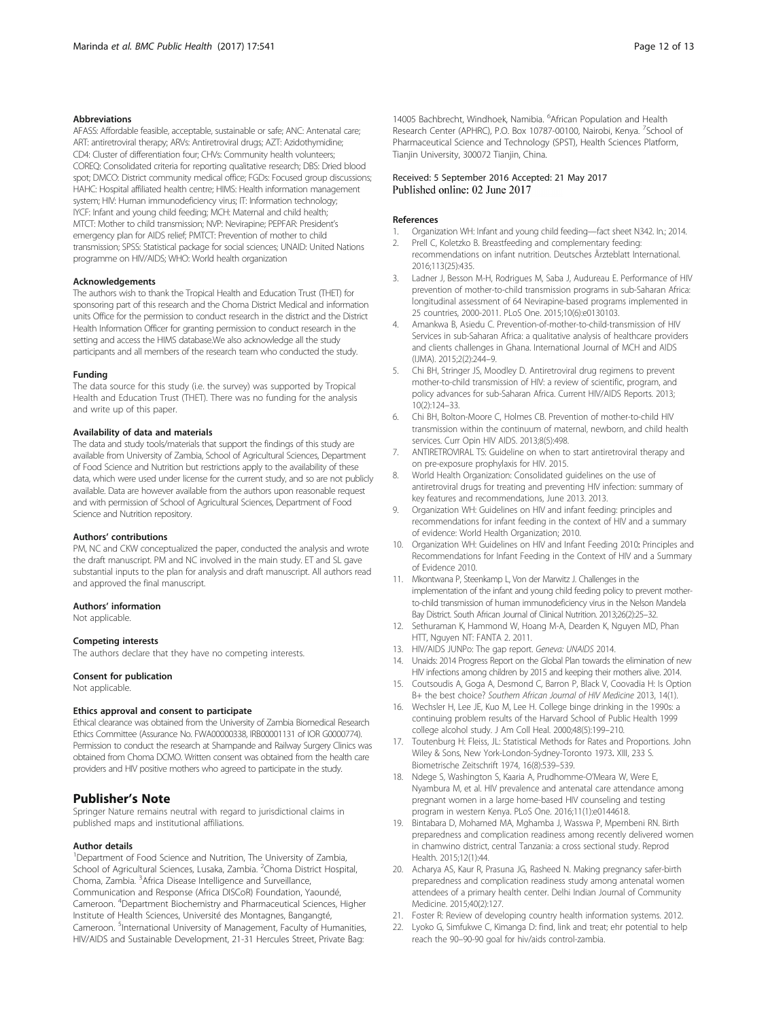#### <span id="page-11-0"></span>Abbreviations

AFASS: Affordable feasible, acceptable, sustainable or safe; ANC: Antenatal care; ART: antiretroviral therapy; ARVs: Antiretroviral drugs; AZT: Azidothymidine; CD4: Cluster of differentiation four; CHVs: Community health volunteers; COREQ: Consolidated criteria for reporting qualitative research; DBS: Dried blood spot; DMCO: District community medical office; FGDs: Focused group discussions; HAHC: Hospital affiliated health centre; HIMS: Health information management system; HIV: Human immunodeficiency virus; IT: Information technology; IYCF: Infant and young child feeding; MCH: Maternal and child health; MTCT: Mother to child transmission; NVP: Nevirapine; PEPFAR: President's emergency plan for AIDS relief; PMTCT: Prevention of mother to child transmission; SPSS: Statistical package for social sciences; UNAID: United Nations programme on HIV/AIDS; WHO: World health organization

#### Acknowledgements

The authors wish to thank the Tropical Health and Education Trust (THET) for sponsoring part of this research and the Choma District Medical and information units Office for the permission to conduct research in the district and the District Health Information Officer for granting permission to conduct research in the setting and access the HIMS database.We also acknowledge all the study participants and all members of the research team who conducted the study.

#### Funding

The data source for this study (i.e. the survey) was supported by Tropical Health and Education Trust (THET). There was no funding for the analysis and write up of this paper.

#### Availability of data and materials

The data and study tools/materials that support the findings of this study are available from University of Zambia, School of Agricultural Sciences, Department of Food Science and Nutrition but restrictions apply to the availability of these data, which were used under license for the current study, and so are not publicly available. Data are however available from the authors upon reasonable request and with permission of School of Agricultural Sciences, Department of Food Science and Nutrition repository.

#### Authors' contributions

PM, NC and CKW conceptualized the paper, conducted the analysis and wrote the draft manuscript. PM and NC involved in the main study. ET and SL gave substantial inputs to the plan for analysis and draft manuscript. All authors read and approved the final manuscript.

#### Authors' information

Not applicable.

#### Competing interests

The authors declare that they have no competing interests.

#### Consent for publication

Not applicable.

#### Ethics approval and consent to participate

Ethical clearance was obtained from the University of Zambia Biomedical Research Ethics Committee (Assurance No. FWA00000338, IRB00001131 of IOR G0000774). Permission to conduct the research at Shampande and Railway Surgery Clinics was obtained from Choma DCMO. Written consent was obtained from the health care providers and HIV positive mothers who agreed to participate in the study.

# Publisher's Note

Springer Nature remains neutral with regard to jurisdictional claims in published maps and institutional affiliations.

#### Author details

<sup>1</sup>Department of Food Science and Nutrition, The University of Zambia, School of Agricultural Sciences, Lusaka, Zambia. <sup>2</sup>Choma District Hospital, Choma, Zambia. <sup>3</sup> Africa Disease Intelligence and Surveillance, Communication and Response (Africa DISCoR) Foundation, Yaoundé, Cameroon. <sup>4</sup>Department Biochemistry and Pharmaceutical Sciences, Higher Institute of Health Sciences, Université des Montagnes, Bangangté, Cameroon. <sup>5</sup>International University of Management, Faculty of Humanities, HIV/AIDS and Sustainable Development, 21-31 Hercules Street, Private Bag:

14005 Bachbrecht, Windhoek, Namibia. <sup>6</sup>African Population and Health Research Center (APHRC), P.O. Box 10787-00100, Nairobi, Kenya. <sup>7</sup>School of Pharmaceutical Science and Technology (SPST), Health Sciences Platform, Tianjin University, 300072 Tianjin, China.

#### Received: 5 September 2016 Accepted: 21 May 2017 Published online: 02 June 2017

#### References

- 1. Organization WH: Infant and young child feeding—fact sheet N342. In.; 2014.
- 2. Prell C, Koletzko B. Breastfeeding and complementary feeding: recommendations on infant nutrition. Deutsches Ärzteblatt International. 2016;113(25):435.
- 3. Ladner J, Besson M-H, Rodrigues M, Saba J, Audureau E. Performance of HIV prevention of mother-to-child transmission programs in sub-Saharan Africa: longitudinal assessment of 64 Nevirapine-based programs implemented in 25 countries, 2000-2011. PLoS One. 2015;10(6):e0130103.
- 4. Amankwa B, Asiedu C. Prevention-of-mother-to-child-transmission of HIV Services in sub-Saharan Africa: a qualitative analysis of healthcare providers and clients challenges in Ghana. International Journal of MCH and AIDS (IJMA). 2015;2(2):244–9.
- 5. Chi BH, Stringer JS, Moodley D. Antiretroviral drug regimens to prevent mother-to-child transmission of HIV: a review of scientific, program, and policy advances for sub-Saharan Africa. Current HIV/AIDS Reports. 2013;  $10(2):124-33$
- 6. Chi BH, Bolton-Moore C, Holmes CB. Prevention of mother-to-child HIV transmission within the continuum of maternal, newborn, and child health services. Curr Opin HIV AIDS. 2013;8(5):498.
- 7. ANTIRETROVIRAL TS: Guideline on when to start antiretroviral therapy and on pre-exposure prophylaxis for HIV. 2015.
- World Health Organization: Consolidated guidelines on the use of antiretroviral drugs for treating and preventing HIV infection: summary of key features and recommendations, June 2013. 2013.
- 9. Organization WH: Guidelines on HIV and infant feeding: principles and recommendations for infant feeding in the context of HIV and a summary of evidence: World Health Organization; 2010.
- 10. Organization WH: Guidelines on HIV and Infant Feeding 2010: Principles and Recommendations for Infant Feeding in the Context of HIV and a Summary of Evidence 2010.
- 11. Mkontwana P, Steenkamp L, Von der Marwitz J. Challenges in the implementation of the infant and young child feeding policy to prevent motherto-child transmission of human immunodeficiency virus in the Nelson Mandela Bay District. South African Journal of Clinical Nutrition. 2013;26(2):25–32.
- 12. Sethuraman K, Hammond W, Hoang M-A, Dearden K, Nguyen MD, Phan HTT, Nguyen NT: FANTA 2. 2011.
- 13. HIV/AIDS JUNPo: The gap report. Geneva: UNAIDS 2014.
- 14. Unaids: 2014 Progress Report on the Global Plan towards the elimination of new HIV infections among children by 2015 and keeping their mothers alive. 2014.
- 15. Coutsoudis A, Goga A, Desmond C, Barron P, Black V, Coovadia H: Is Option B+ the best choice? Southern African Journal of HIV Medicine 2013, 14(1).
- 16. Wechsler H, Lee JE, Kuo M, Lee H. College binge drinking in the 1990s: a continuing problem results of the Harvard School of Public Health 1999 college alcohol study. J Am Coll Heal. 2000;48(5):199–210.
- 17. Toutenburg H: Fleiss, JL: Statistical Methods for Rates and Proportions. John Wiley & Sons, New York-London-Sydney-Toronto 1973. XIII, 233 S. Biometrische Zeitschrift 1974, 16(8):539–539.
- 18. Ndege S, Washington S, Kaaria A, Prudhomme-O'Meara W, Were E, Nyambura M, et al. HIV prevalence and antenatal care attendance among pregnant women in a large home-based HIV counseling and testing program in western Kenya. PLoS One. 2016;11(1):e0144618.
- 19. Bintabara D, Mohamed MA, Mghamba J, Wasswa P, Mpembeni RN. Birth preparedness and complication readiness among recently delivered women in chamwino district, central Tanzania: a cross sectional study. Reprod Health. 2015;12(1):44.
- 20. Acharya AS, Kaur R, Prasuna JG, Rasheed N. Making pregnancy safer-birth preparedness and complication readiness study among antenatal women attendees of a primary health center. Delhi Indian Journal of Community Medicine. 2015;40(2):127.
- 21. Foster R: Review of developing country health information systems. 2012.
- 22. Lyoko G, Simfukwe C, Kimanga D: find, link and treat; ehr potential to help reach the 90–90-90 goal for hiv/aids control-zambia.